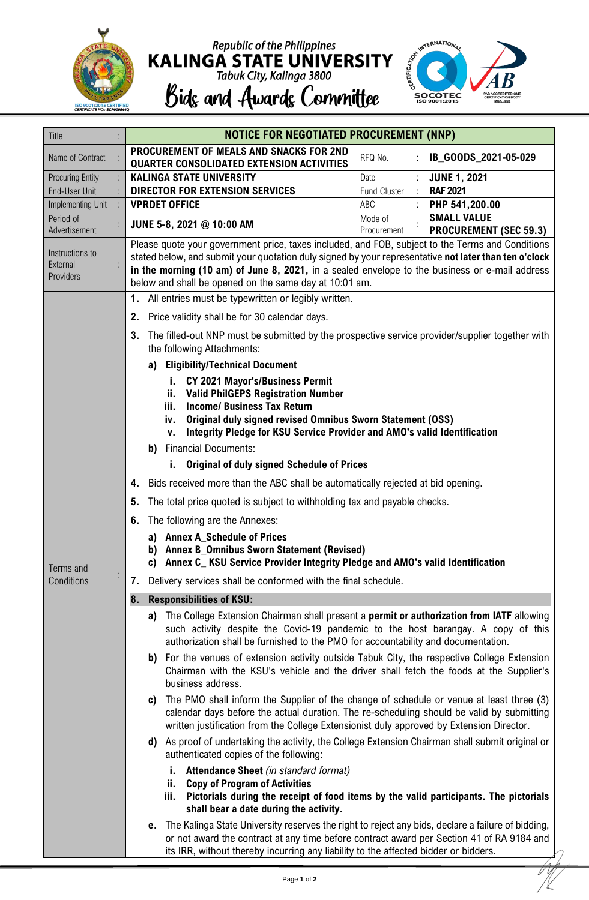

## Republic of the Philippines<br> **KALINGA STATE UNIVERSITY**<br>
Tabuk City, Kalinga 3800<br> **Bidg and Awardg Committee**



| Title                                    | <b>NOTICE FOR NEGOTIATED PROCUREMENT (NNP)</b>                                                                                                                                                          |  |  |  |  |
|------------------------------------------|---------------------------------------------------------------------------------------------------------------------------------------------------------------------------------------------------------|--|--|--|--|
| Name of Contract                         | PROCUREMENT OF MEALS AND SNACKS FOR 2ND<br>RFQ No.<br>IB_GOODS_2021-05-029                                                                                                                              |  |  |  |  |
|                                          | <b>QUARTER CONSOLIDATED EXTENSION ACTIVITIES</b><br><b>KALINGA STATE UNIVERSITY</b>                                                                                                                     |  |  |  |  |
| <b>Procuring Entity</b><br>End-User Unit | <b>JUNE 1, 2021</b><br>Date<br><b>RAF 2021</b><br><b>DIRECTOR FOR EXTENSION SERVICES</b><br><b>Fund Cluster</b>                                                                                         |  |  |  |  |
| Implementing Unit                        | <b>VPRDET OFFICE</b><br>ABC<br>PHP 541,200.00                                                                                                                                                           |  |  |  |  |
| Period of                                | <b>SMALL VALUE</b><br>Mode of                                                                                                                                                                           |  |  |  |  |
| Advertisement                            | JUNE 5-8, 2021 @ 10:00 AM<br>Procurement<br><b>PROCUREMENT (SEC 59.3)</b>                                                                                                                               |  |  |  |  |
| Instructions to                          | Please quote your government price, taxes included, and FOB, subject to the Terms and Conditions                                                                                                        |  |  |  |  |
| External                                 | stated below, and submit your quotation duly signed by your representative not later than ten o'clock<br>in the morning (10 am) of June 8, 2021, in a sealed envelope to the business or e-mail address |  |  |  |  |
| Providers                                | below and shall be opened on the same day at 10:01 am.                                                                                                                                                  |  |  |  |  |
|                                          | All entries must be typewritten or legibly written.<br>1.                                                                                                                                               |  |  |  |  |
|                                          | Price validity shall be for 30 calendar days.                                                                                                                                                           |  |  |  |  |
|                                          | 2.<br>The filled-out NNP must be submitted by the prospective service provider/supplier together with<br>3.                                                                                             |  |  |  |  |
|                                          | the following Attachments:                                                                                                                                                                              |  |  |  |  |
|                                          | <b>Eligibility/Technical Document</b><br>a)                                                                                                                                                             |  |  |  |  |
|                                          | <b>CY 2021 Mayor's/Business Permit</b><br>i.                                                                                                                                                            |  |  |  |  |
|                                          | <b>Valid PhilGEPS Registration Number</b><br>ii.                                                                                                                                                        |  |  |  |  |
|                                          | <b>Income/ Business Tax Return</b><br>iii.                                                                                                                                                              |  |  |  |  |
|                                          | Original duly signed revised Omnibus Sworn Statement (OSS)<br>iv.<br>Integrity Pledge for KSU Service Provider and AMO's valid Identification                                                           |  |  |  |  |
|                                          | v.<br><b>Financial Documents:</b><br>b)                                                                                                                                                                 |  |  |  |  |
|                                          | <b>Original of duly signed Schedule of Prices</b>                                                                                                                                                       |  |  |  |  |
|                                          |                                                                                                                                                                                                         |  |  |  |  |
| Terms and<br>Conditions                  | Bids received more than the ABC shall be automatically rejected at bid opening.<br>4.                                                                                                                   |  |  |  |  |
|                                          | The total price quoted is subject to withholding tax and payable checks.<br>5.                                                                                                                          |  |  |  |  |
|                                          | The following are the Annexes:<br>6.                                                                                                                                                                    |  |  |  |  |
|                                          | a) Annex A_Schedule of Prices<br>b) Annex B_Omnibus Sworn Statement (Revised)                                                                                                                           |  |  |  |  |
|                                          | c) Annex C KSU Service Provider Integrity Pledge and AMO's valid Identification                                                                                                                         |  |  |  |  |
|                                          | Delivery services shall be conformed with the final schedule.<br>7.                                                                                                                                     |  |  |  |  |
|                                          | <b>Responsibilities of KSU:</b><br>8.                                                                                                                                                                   |  |  |  |  |
|                                          | The College Extension Chairman shall present a permit or authorization from IATF allowing<br>a)                                                                                                         |  |  |  |  |
|                                          | such activity despite the Covid-19 pandemic to the host barangay. A copy of this<br>authorization shall be furnished to the PMO for accountability and documentation.                                   |  |  |  |  |
|                                          | For the venues of extension activity outside Tabuk City, the respective College Extension                                                                                                               |  |  |  |  |
|                                          | b)<br>Chairman with the KSU's vehicle and the driver shall fetch the foods at the Supplier's                                                                                                            |  |  |  |  |
|                                          | business address.                                                                                                                                                                                       |  |  |  |  |
|                                          | The PMO shall inform the Supplier of the change of schedule or venue at least three (3)<br>C)                                                                                                           |  |  |  |  |
|                                          | calendar days before the actual duration. The re-scheduling should be valid by submitting<br>written justification from the College Extensionist duly approved by Extension Director.                   |  |  |  |  |
|                                          | d) As proof of undertaking the activity, the College Extension Chairman shall submit original or                                                                                                        |  |  |  |  |
|                                          | authenticated copies of the following:                                                                                                                                                                  |  |  |  |  |
|                                          | <b>Attendance Sheet</b> (in standard format)<br>Ī.                                                                                                                                                      |  |  |  |  |
|                                          | <b>Copy of Program of Activities</b><br>ii.                                                                                                                                                             |  |  |  |  |
|                                          | Pictorials during the receipt of food items by the valid participants. The pictorials<br>iii.<br>shall bear a date during the activity.                                                                 |  |  |  |  |
|                                          | The Kalinga State University reserves the right to reject any bids, declare a failure of bidding,<br>е.                                                                                                 |  |  |  |  |
|                                          | or not award the contract at any time before contract award per Section 41 of RA 9184 and                                                                                                               |  |  |  |  |
|                                          | its IRR, without thereby incurring any liability to the affected bidder or bidders.                                                                                                                     |  |  |  |  |